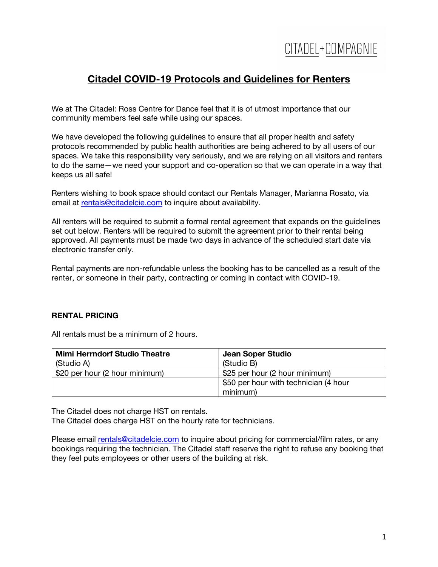### **Citadel COVID-19 Protocols and Guidelines for Renters**

We at The Citadel: Ross Centre for Dance feel that it is of utmost importance that our community members feel safe while using our spaces.

We have developed the following guidelines to ensure that all proper health and safety protocols recommended by public health authorities are being adhered to by all users of our spaces. We take this responsibility very seriously, and we are relying on all visitors and renters to do the same—we need your support and co-operation so that we can operate in a way that keeps us all safe!

Renters wishing to book space should contact our Rentals Manager, Marianna Rosato, via email at rentals@citadelcie.com to inquire about availability.

All renters will be required to submit a formal rental agreement that expands on the guidelines set out below. Renters will be required to submit the agreement prior to their rental being approved. All payments must be made two days in advance of the scheduled start date via electronic transfer only.

Rental payments are non-refundable unless the booking has to be cancelled as a result of the renter, or someone in their party, contracting or coming in contact with COVID-19.

### **RENTAL PRICING**

All rentals must be a minimum of 2 hours.

| <b>Mimi Herrndorf Studio Theatre</b> | Jean Soper Studio                     |
|--------------------------------------|---------------------------------------|
| (Studio A)                           | (Studio B)                            |
| \$20 per hour (2 hour minimum)       | \$25 per hour (2 hour minimum)        |
|                                      | \$50 per hour with technician (4 hour |
|                                      | minimum)                              |

The Citadel does not charge HST on rentals.

The Citadel does charge HST on the hourly rate for technicians.

Please email rentals@citadelcie.com to inquire about pricing for commercial/film rates, or any bookings requiring the technician. The Citadel staff reserve the right to refuse any booking that they feel puts employees or other users of the building at risk.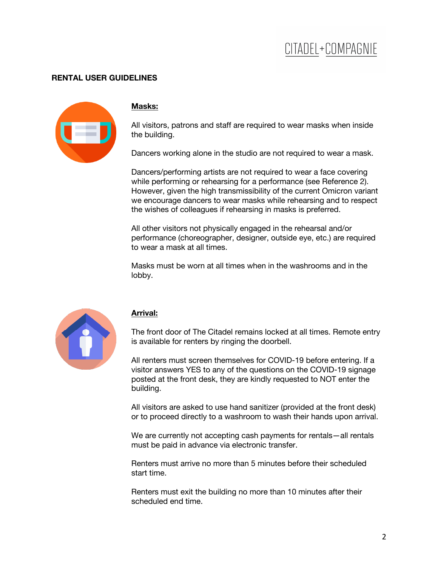### CITADEL+COMPAGNIE

### **RENTAL USER GUIDELINES**



#### **Masks:**

All visitors, patrons and staff are required to wear masks when inside the building.

Dancers working alone in the studio are not required to wear a mask.

Dancers/performing artists are not required to wear a face covering while performing or rehearsing for a performance (see Reference 2). However, given the high transmissibility of the current Omicron variant we encourage dancers to wear masks while rehearsing and to respect the wishes of colleagues if rehearsing in masks is preferred.

All other visitors not physically engaged in the rehearsal and/or performance (choreographer, designer, outside eye, etc.) are required to wear a mask at all times.

Masks must be worn at all times when in the washrooms and in the lobby.



### **Arrival:**

The front door of The Citadel remains locked at all times. Remote entry is available for renters by ringing the doorbell.

All renters must screen themselves for COVID-19 before entering. If a visitor answers YES to any of the questions on the COVID-19 signage posted at the front desk, they are kindly requested to NOT enter the building.

All visitors are asked to use hand sanitizer (provided at the front desk) or to proceed directly to a washroom to wash their hands upon arrival.

We are currently not accepting cash payments for rentals—all rentals must be paid in advance via electronic transfer.

Renters must arrive no more than 5 minutes before their scheduled start time.

Renters must exit the building no more than 10 minutes after their scheduled end time.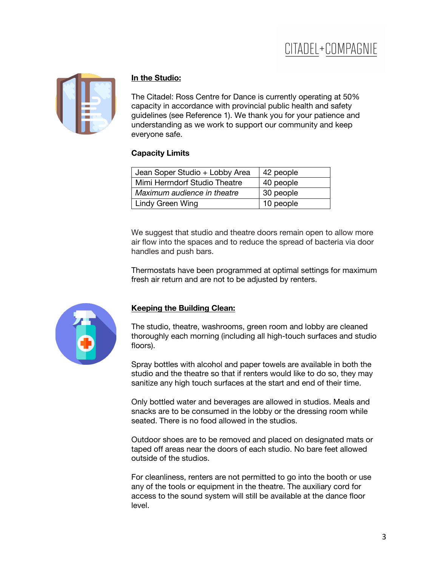# CITADEL+COMPAGNIE



#### **In the Studio:**

The Citadel: Ross Centre for Dance is currently operating at 50% capacity in accordance with provincial public health and safety guidelines (see Reference 1). We thank you for your patience and understanding as we work to support our community and keep everyone safe.

#### **Capacity Limits**

| Jean Soper Studio + Lobby Area | 42 people |
|--------------------------------|-----------|
| Mimi Herrndorf Studio Theatre  | 40 people |
| Maximum audience in theatre    | 30 people |
| Lindy Green Wing               | 10 people |
|                                |           |

We suggest that studio and theatre doors remain open to allow more air flow into the spaces and to reduce the spread of bacteria via door handles and push bars.

Thermostats have been programmed at optimal settings for maximum fresh air return and are not to be adjusted by renters.



### **Keeping the Building Clean:**

The studio, theatre, washrooms, green room and lobby are cleaned thoroughly each morning (including all high-touch surfaces and studio floors).

Spray bottles with alcohol and paper towels are available in both the studio and the theatre so that if renters would like to do so, they may sanitize any high touch surfaces at the start and end of their time.

Only bottled water and beverages are allowed in studios. Meals and snacks are to be consumed in the lobby or the dressing room while seated. There is no food allowed in the studios.

Outdoor shoes are to be removed and placed on designated mats or taped off areas near the doors of each studio. No bare feet allowed outside of the studios.

For cleanliness, renters are not permitted to go into the booth or use any of the tools or equipment in the theatre. The auxiliary cord for access to the sound system will still be available at the dance floor level.